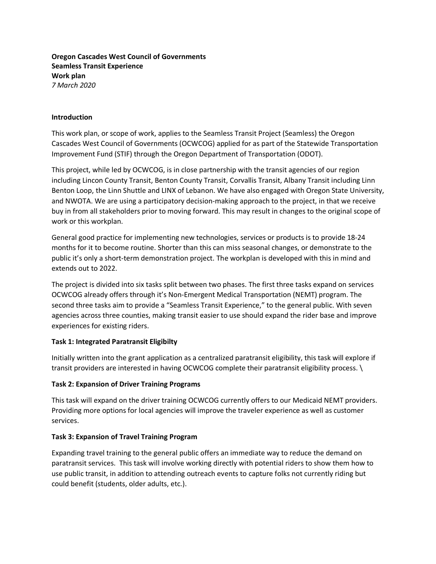**Oregon Cascades West Council of Governments Seamless Transit Experience Work plan** *7 March 2020*

### **Introduction**

This work plan, or scope of work, applies to the Seamless Transit Project (Seamless) the Oregon Cascades West Council of Governments (OCWCOG) applied for as part of the Statewide Transportation Improvement Fund (STIF) through the Oregon Department of Transportation (ODOT).

This project, while led by OCWCOG, is in close partnership with the transit agencies of our region including Lincon County Transit, Benton County Transit, Corvallis Transit, Albany Transit including Linn Benton Loop, the Linn Shuttle and LINX of Lebanon. We have also engaged with Oregon State University, and NWOTA. We are using a participatory decision-making approach to the project, in that we receive buy in from all stakeholders prior to moving forward. This may result in changes to the original scope of work or this workplan.

General good practice for implementing new technologies, services or products is to provide 18-24 months for it to become routine. Shorter than this can miss seasonal changes, or demonstrate to the public it's only a short-term demonstration project. The workplan is developed with this in mind and extends out to 2022.

The project is divided into six tasks split between two phases. The first three tasks expand on services OCWCOG already offers through it's Non-Emergent Medical Transportation (NEMT) program. The second three tasks aim to provide a "Seamless Transit Experience," to the general public. With seven agencies across three counties, making transit easier to use should expand the rider base and improve experiences for existing riders.

## **Task 1: Integrated Paratransit Eligibilty**

Initially written into the grant application as a centralized paratransit eligibility, this task will explore if transit providers are interested in having OCWCOG complete their paratransit eligibility process. \

## **Task 2: Expansion of Driver Training Programs**

This task will expand on the driver training OCWCOG currently offers to our Medicaid NEMT providers. Providing more options for local agencies will improve the traveler experience as well as customer services.

## **Task 3: Expansion of Travel Training Program**

Expanding travel training to the general public offers an immediate way to reduce the demand on paratransit services. This task will involve working directly with potential riders to show them how to use public transit, in addition to attending outreach events to capture folks not currently riding but could benefit (students, older adults, etc.).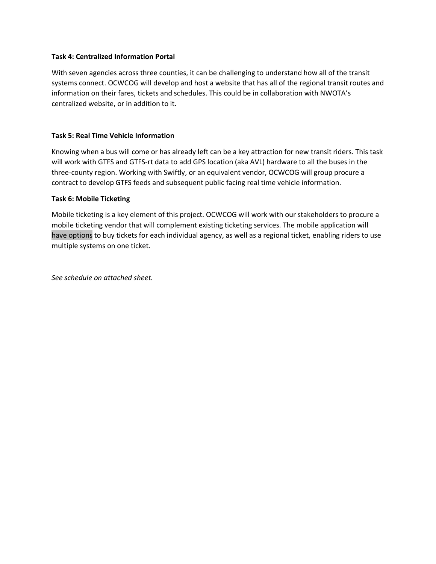## **Task 4: Centralized Information Portal**

With seven agencies across three counties, it can be challenging to understand how all of the transit systems connect. OCWCOG will develop and host a website that has all of the regional transit routes and information on their fares, tickets and schedules. This could be in collaboration with NWOTA's centralized website, or in addition to it.

## **Task 5: Real Time Vehicle Information**

Knowing when a bus will come or has already left can be a key attraction for new transit riders. This task will work with GTFS and GTFS-rt data to add GPS location (aka AVL) hardware to all the buses in the three-county region. Working with Swiftly, or an equivalent vendor, OCWCOG will group procure a contract to develop GTFS feeds and subsequent public facing real time vehicle information.

## **Task 6: Mobile Ticketing**

Mobile ticketing is a key element of this project. OCWCOG will work with our stakeholders to procure a mobile ticketing vendor that will complement existing ticketing services. The mobile application will have options to buy tickets for each individual agency, as well as a regional ticket, enabling riders to use multiple systems on one ticket.

*See schedule on attached sheet.*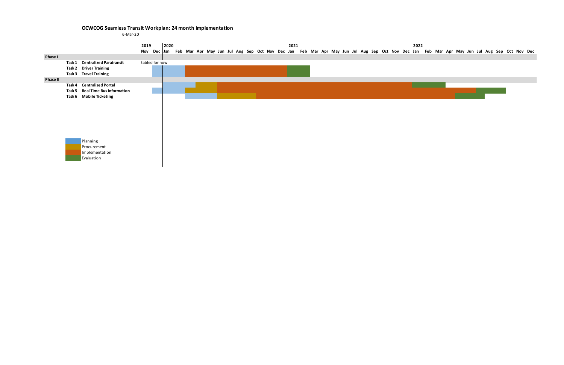# **OCWCOG Seamless Transit Workplan: 24 month implementation**

6-Mar-20